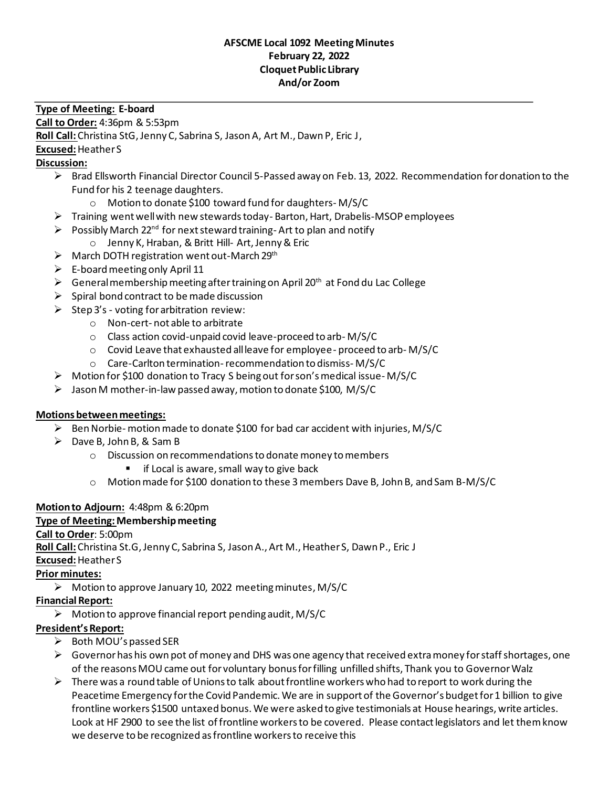#### **AFSCME Local 1092 Meeting Minutes February 22, 2022 Cloquet Public Library And/or Zoom**

#### **Type of Meeting: E-board**

**Call to Order:** 4:36pm & 5:53pm

**Roll Call:**Christina StG, Jenny C, Sabrina S, Jason A, Art M., Dawn P, Eric J,

**Excused:**Heather S

### **Discussion:**

- ➢ Brad Ellsworth Financial Director Council 5-Passed away on Feb. 13, 2022. Recommendation fordonation to the Fund for his 2 teenage daughters.
	- o Motion to donate \$100 toward fund for daughters- M/S/C
- ➢ Training went well with new stewards today- Barton, Hart, Drabelis-MSOP employees
- $\triangleright$  Possibly March 22<sup>nd</sup> for next steward training- Art to plan and notify
- o Jenny K, Hraban, & Britt Hill- Art, Jenny & Eric
- $\triangleright$  March DOTH registration went out-March 29<sup>th</sup>
- $\triangleright$  E-board meeting only April 11
- $\triangleright$  General membership meeting after training on April 20<sup>th</sup> at Fond du Lac College
- $\triangleright$  Spiral bond contract to be made discussion
- $\triangleright$  Step 3's voting for arbitration review:
	- o Non-cert- not able to arbitrate
	- o Class action covid-unpaid covid leave-proceed to arb- M/S/C
	- o Covid Leave that exhausted all leave for employee- proceed to arb- M/S/C
	- o Care-Carlton termination-recommendation to dismiss- M/S/C
- ➢ Motion for \$100 donation to Tracy S being out for son's medical issue- M/S/C
- $\triangleright$  Jason M mother-in-law passed away, motion to donate \$100, M/S/C

#### **Motions between meetings:**

- $\triangleright$  Ben Norbie- motion made to donate \$100 for bad car accident with injuries, M/S/C
- $\triangleright$  Dave B, John B, & Sam B
	- o Discussion on recommendations to donate money to members
		- if Local is aware, small way to give back
	- o Motion made for \$100 donation to these 3 members Dave B, John B, and Sam B-M/S/C

# **Motion to Adjourn:** 4:48pm & 6:20pm

#### **Type of Meeting: Membership meeting**

#### **Call to Order**: 5:00pm

**Roll Call:**Christina St.G, Jenny C, Sabrina S, Jason A., Art M., Heather S, Dawn P., Eric J

**Excused:**Heather S

# **Prior minutes:**

 $\triangleright$  Motion to approve January 10, 2022 meeting minutes, M/S/C

#### **Financial Report:**

 $\triangleright$  Motion to approve financial report pending audit, M/S/C

# **President's Report:**

- ➢ Both MOU's passed SER
- $\triangleright$  Governor has his own pot of money and DHS was one agency that received extra money for staff shortages, one of the reasonsMOU came out for voluntary bonus for filling unfilled shifts, Thank you to GovernorWalz
- $\triangleright$  There was a round table of Unions to talk about frontline workers who had to report to work during the Peacetime Emergency for the Covid Pandemic. We are in support of the Governor's budget for 1 billion to give frontline workers \$1500 untaxed bonus. We were asked to give testimonials at House hearings, write articles. Look at HF 2900 to see the list of frontline workers to be covered. Please contact legislators and let them know we deserve to be recognized as frontline workers to receive this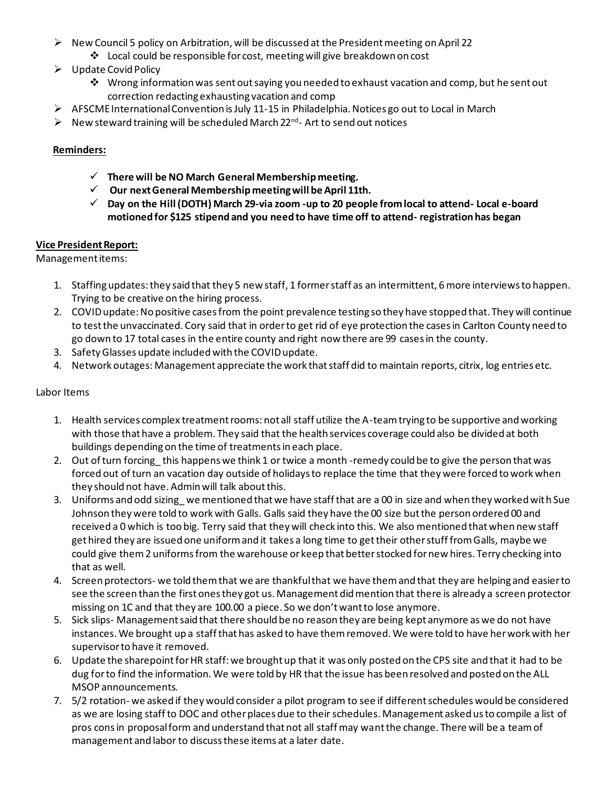- $\triangleright$  New Council 5 policy on Arbitration, will be discussed at the President meeting on April 22
	- ❖ Local could be responsible for cost, meeting will give breakdown on cost
- ➢ Update Covid Policy
	- ◆ Wrong information was sent out saying you needed to exhaust vacation and comp, but he sent out correction redacting exhausting vacation and comp
- ➢ AFSCME International Convention is July 11-15 in Philadelphia. Notices go out to Local in March
- ➢ New steward training will be scheduled March 22nd Art to send out notices

### **Reminders:**

- ✓ **There will be NO March General Membership meeting.**
- ✓ **Our next General Membership meeting will be April 11th.**
- ✓ **Day on the Hill (DOTH) March 29-via zoom -up to 20 people from local to attend- Local e-board motioned for \$125 stipend and you need to have time off to attend- registration has began**

#### **Vice President Report:**

Management items:

- 1. Staffing updates: they said that they 5 new staff, 1 former staff as an intermittent, 6 more interviews to happen. Trying to be creative on the hiring process.
- 2. COVID update: No positive cases from the point prevalence testing so they have stopped that. They will continue to test the unvaccinated. Cory said that in order to get rid of eye protection the cases in Carlton County need to go down to 17 total cases in the entire county and right now there are 99 cases in the county.
- 3. Safety Glasses update included with the COVID update.
- 4. Network outages: Management appreciate the work that staff did to maintain reports, citrix, log entries etc.

#### Labor Items

- 1. Health services complex treatment rooms: not all staff utilize the A-team trying to be supportive and working with those that have a problem. They said that the health services coverage could also be divided at both buildings depending on the time of treatments in each place.
- 2. Out of turn forcing this happens we think 1 or twice a month -remedy could be to give the person that was forced out of turn an vacation day outside of holidays to replace the time that they were forced to work when they should not have. Admin will talk about this.
- 3. Uniforms and odd sizing\_ we mentioned that we have staff that are a 00 in size and when they worked with Sue Johnson they were told to work with Galls. Galls said they have the 00 size but the person ordered 00 and received a 0 which is too big. Terry said that they will check into this. We also mentioned that when new staff get hired they are issued one uniform and it takes a long time to get their other stuff from Galls, maybe we could give them 2 uniforms from the warehouse or keep that better stocked for new hires. Terry checking into that as well.
- 4. Screen protectors- we told them that we are thankful that we have them and that they are helping and easier to see the screen than the first ones they got us. Management did mention that there is already a screen protector missing on 1C and that they are 100.00 a piece. So we don't want to lose anymore.
- 5. Sick slips- Management said that there should be no reason they are being kept anymore as we do not have instances. We brought up a staff that has asked to have them removed. We were told to have her work with her supervisor to have it removed.
- 6. Update the sharepoint for HR staff: we brought up that it was only posted on the CPS site and that it had to be dug for to find the information. We were told by HR that the issue has been resolved and posted on the ALL MSOP announcements.
- 7. 5/2 rotation- we asked if they would consider a pilot program to see if different schedules would be considered as we are losing staff to DOC and other places due to their schedules. Management asked us to compile a list of pros cons in proposal form and understand that not all staff may want the change. There will be a team of management and labor to discuss these items at a later date.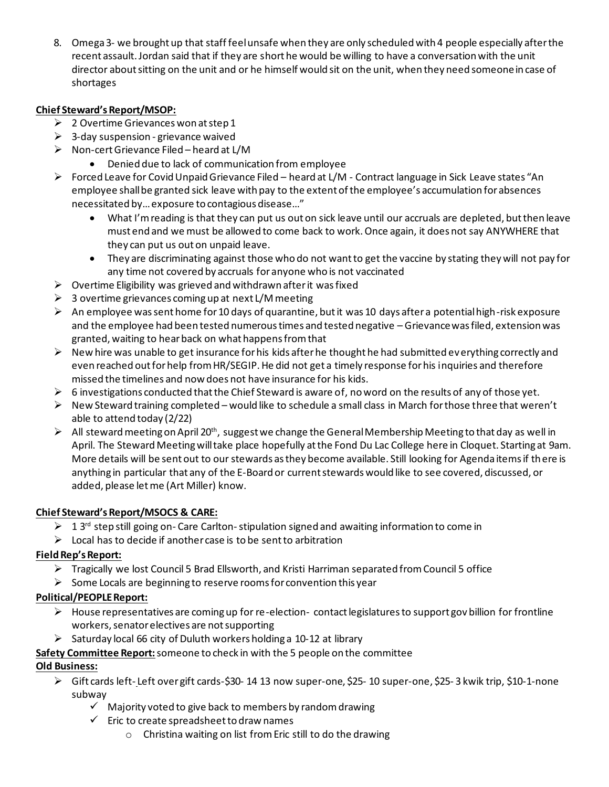8. Omega 3- we brought up that staff feel unsafe when they are only scheduled with 4 people especially after the recent assault. Jordan said that if they are short he would be willing to have a conversation with the unit director about sitting on the unit and or he himself would sit on the unit, when they need someone in case of shortages

# **Chief Steward's Report/MSOP:**

- $\geqslant$  2 Overtime Grievances won at step 1
- $\triangleright$  3-day suspension grievance waived
- ➢ Non-cert Grievance Filed heard at L/M
	- Denied due to lack of communication from employee
- ➢ Forced Leave for Covid Unpaid Grievance Filed heard at L/M Contract language in Sick Leave states "An employee shall be granted sick leave with pay to the extent of the employee's accumulation for absences necessitated by… exposure to contagious disease…"
	- What I'm reading is that they can put us out on sick leave until our accruals are depleted, but then leave must end and we must be allowed to come back to work. Once again, it does not say ANYWHERE that they can put us out on unpaid leave.
	- They are discriminating against those who do not want to get the vaccine by stating they will not pay for any time not covered by accruals for anyone who is not vaccinated
- $\triangleright$  Overtime Eligibility was grieved and withdrawn after it was fixed
- $\geq 3$  overtime grievances coming up at next L/M meeting
- $\triangleright$  An employee was sent home for 10 days of quarantine, but it was 10 days after a potential high-risk exposure and the employee had been tested numerous times and tested negative – Grievance was filed, extension was granted, waiting to hear back on what happens from that
- $\triangleright$  New hire was unable to get insurance for his kids after he thought he had submitted everything correctly and even reached out for help from HR/SEGIP. He did not get a timely response for his inquiries and therefore missed the timelines and now does not have insurance for his kids.
- $\triangleright$  6 investigations conducted that the Chief Steward is aware of, no word on the results of any of those yet.
- $\triangleright$  New Steward training completed would like to schedule a small class in March for those three that weren't able to attend today (2/22)
- $\triangleright$  All steward meeting on April 20<sup>th</sup>, suggest we change the General Membership Meeting to that day as well in April. The Steward Meeting will take place hopefully at the Fond Du Lac College here in Cloquet. Starting at 9am. More details will be sent out to our stewards as they become available. Still looking for Agenda items if there is anything in particular that any of the E-Board or current stewards would like to see covered, discussed, or added, please let me (Art Miller) know.

# **Chief Steward's Report/MSOCS & CARE:**

- $\triangleright$  1 3<sup>rd</sup> step still going on- Care Carlton-stipulation signed and awaiting information to come in
- $\triangleright$  Local has to decide if another case is to be sent to arbitration

# **Field Rep's Report:**

- $\triangleright$  Tragically we lost Council 5 Brad Ellsworth, and Kristi Harriman separated from Council 5 office
- $\triangleright$  Some Locals are beginning to reserve rooms for convention this year

# **Political/PEOPLE Report:**

- ➢ House representatives are coming up for re-election- contact legislatures to support gov billion for frontline workers, senator electives are not supporting
- $\triangleright$  Saturday local 66 city of Duluth workers holding a 10-12 at library
- **Safety Committee Report:**someone to check in with the 5 people on the committee

# **Old Business:**

- ➢ Gift cards left- Left over gift cards-\$30- 14 13 now super-one, \$25- 10 super-one, \$25- 3 kwik trip, \$10-1-none subway
	- $\checkmark$  Majority voted to give back to members by random drawing
	- $\checkmark$  Eric to create spreadsheet to draw names
		- o Christina waiting on list from Eric still to do the drawing